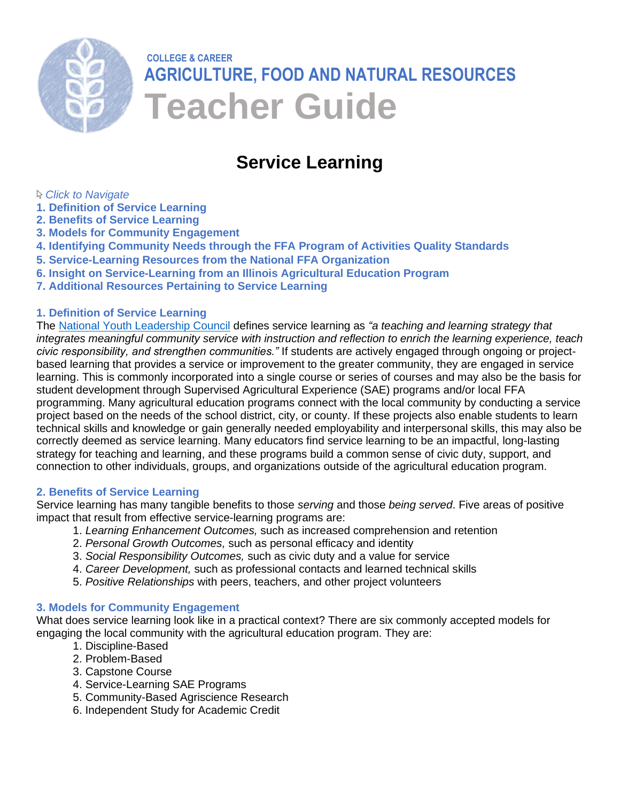

# **COLLEGE & CAREER AGRICULTURE, FOOD AND NATURAL RESOURCES Teacher Guide**

## **Service Learning**

## *Click to Navigate*

- **1. Definition of Service Learning**
- **2. [Benefits of Service Learning](#page-0-0)**
- **3. [Models for Community Engagement](#page-0-1)**
- **4. [Identifying Community Needs through the FFA Program of Activities Quality Standards](#page-2-0)**
- **5. [Service-Learning Resources from the National FFA Organization](#page-3-0)**
- **6. [Insight on Service-Learning from an Illinois Agricultural Education Program](#page-4-0)**
- **7. [Additional Resources Pertaining to](#page-5-0) Service Learning**

## **1. Definition of Service Learning**

The [National Youth Leadership Council](https://www.nylc.org/) defines service learning as *"a teaching and learning strategy that integrates meaningful community service with instruction and reflection to enrich the learning experience, teach civic responsibility, and strengthen communities."* If students are actively engaged through ongoing or projectbased learning that provides a service or improvement to the greater community, they are engaged in service learning. This is commonly incorporated into a single course or series of courses and may also be the basis for student development through Supervised Agricultural Experience (SAE) programs and/or local FFA programming. Many agricultural education programs connect with the local community by conducting a service project based on the needs of the school district, city, or county. If these projects also enable students to learn technical skills and knowledge or gain generally needed employability and interpersonal skills, this may also be correctly deemed as service learning. Many educators find service learning to be an impactful, long-lasting strategy for teaching and learning, and these programs build a common sense of civic duty, support, and connection to other individuals, groups, and organizations outside of the agricultural education program.

## <span id="page-0-0"></span>**2. Benefits of Service Learning**

Service learning has many tangible benefits to those *serving* and those *being served*. Five areas of positive impact that result from effective service-learning programs are:

- 1. *Learning Enhancement Outcomes,* such as increased comprehension and retention
- 2. *Personal Growth Outcomes,* such as personal efficacy and identity
- 3. *Social Responsibility Outcomes,* such as civic duty and a value for service
- 4. *Career Development,* such as professional contacts and learned technical skills
- 5. *Positive Relationships* with peers, teachers, and other project volunteers

## <span id="page-0-1"></span>**3. Models for Community Engagement**

What does service learning look like in a practical context? There are six commonly accepted models for engaging the local community with the agricultural education program. They are:

- 1. Discipline-Based
- 2. Problem-Based
- 3. Capstone Course
- 4. Service-Learning SAE Programs
- 5. Community-Based Agriscience Research
- 6. Independent Study for Academic Credit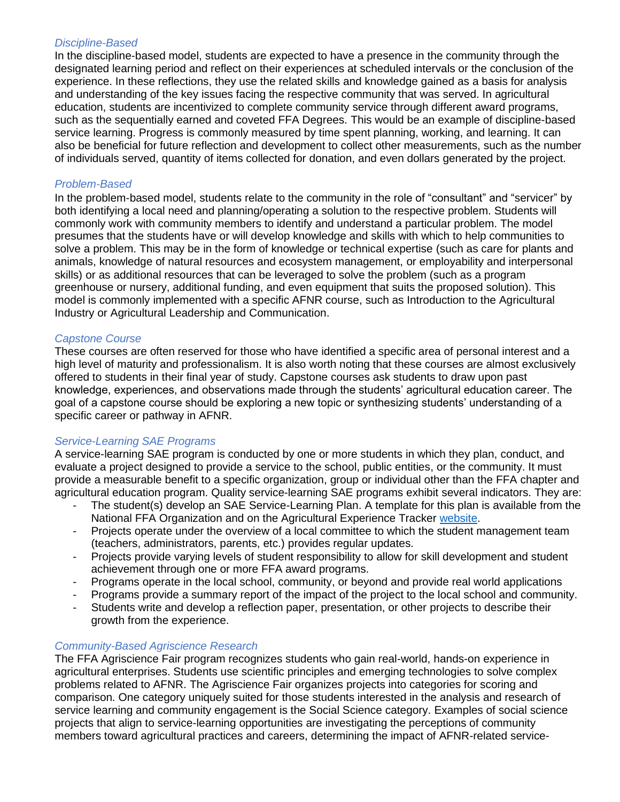## *Discipline-Based*

In the discipline-based model, students are expected to have a presence in the community through the designated learning period and reflect on their experiences at scheduled intervals or the conclusion of the experience. In these reflections, they use the related skills and knowledge gained as a basis for analysis and understanding of the key issues facing the respective community that was served. In agricultural education, students are incentivized to complete community service through different award programs, such as the sequentially earned and coveted FFA Degrees. This would be an example of discipline-based service learning. Progress is commonly measured by time spent planning, working, and learning. It can also be beneficial for future reflection and development to collect other measurements, such as the number of individuals served, quantity of items collected for donation, and even dollars generated by the project.

## *Problem-Based*

In the problem-based model, students relate to the community in the role of "consultant" and "servicer" by both identifying a local need and planning/operating a solution to the respective problem. Students will commonly work with community members to identify and understand a particular problem. The model presumes that the students have or will develop knowledge and skills with which to help communities to solve a problem. This may be in the form of knowledge or technical expertise (such as care for plants and animals, knowledge of natural resources and ecosystem management, or employability and interpersonal skills) or as additional resources that can be leveraged to solve the problem (such as a program greenhouse or nursery, additional funding, and even equipment that suits the proposed solution). This model is commonly implemented with a specific AFNR course, such as Introduction to the Agricultural Industry or Agricultural Leadership and Communication.

## *Capstone Course*

These courses are often reserved for those who have identified a specific area of personal interest and a high level of maturity and professionalism. It is also worth noting that these courses are almost exclusively offered to students in their final year of study. Capstone courses ask students to draw upon past knowledge, experiences, and observations made through the students' agricultural education career. The goal of a capstone course should be exploring a new topic or synthesizing students' understanding of a specific career or pathway in AFNR.

## *Service-Learning SAE Programs*

A service-learning SAE program is conducted by one or more students in which they plan, conduct, and evaluate a project designed to provide a service to the school, public entities, or the community. It must provide a measurable benefit to a specific organization, group or individual other than the FFA chapter and agricultural education program. Quality service-learning SAE programs exhibit several indicators. They are:

- The student(s) develop an SAE Service-Learning Plan. A template for this plan is available from the National FFA Organization and on the Agricultural Experience Tracker [website.](https://theaet.com/)
- Projects operate under the overview of a local committee to which the student management team (teachers, administrators, parents, etc.) provides regular updates.
- Projects provide varying levels of student responsibility to allow for skill development and student achievement through one or more FFA award programs.
- Programs operate in the local school, community, or beyond and provide real world applications
- Programs provide a summary report of the impact of the project to the local school and community.
- Students write and develop a reflection paper, presentation, or other projects to describe their growth from the experience.

## *Community-Based Agriscience Research*

The FFA Agriscience Fair program recognizes students who gain real-world, hands-on experience in agricultural enterprises. Students use scientific principles and emerging technologies to solve complex problems related to AFNR. The Agriscience Fair organizes projects into categories for scoring and comparison. One category uniquely suited for those students interested in the analysis and research of service learning and community engagement is the Social Science category. Examples of social science projects that align to service-learning opportunities are investigating the perceptions of community members toward agricultural practices and careers, determining the impact of AFNR-related service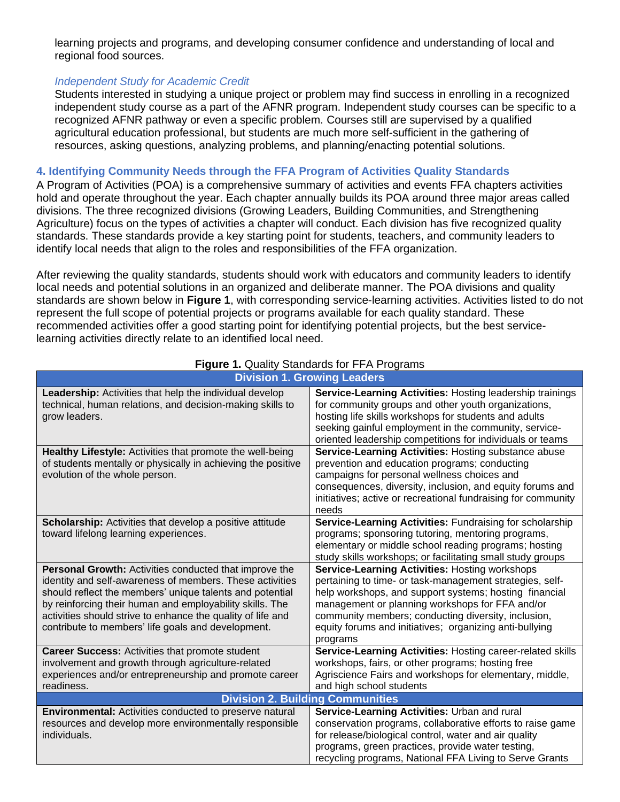learning projects and programs, and developing consumer confidence and understanding of local and regional food sources.

#### *Independent Study for Academic Credit*

Students interested in studying a unique project or problem may find success in enrolling in a recognized independent study course as a part of the AFNR program. Independent study courses can be specific to a recognized AFNR pathway or even a specific problem. Courses still are supervised by a qualified agricultural education professional, but students are much more self-sufficient in the gathering of resources, asking questions, analyzing problems, and planning/enacting potential solutions.

#### <span id="page-2-0"></span>**4. Identifying Community Needs through the FFA Program of Activities Quality Standards**

A Program of Activities (POA) is a comprehensive summary of activities and events FFA chapters activities hold and operate throughout the year. Each chapter annually builds its POA around three major areas called divisions. The three recognized divisions (Growing Leaders, Building Communities, and Strengthening Agriculture) focus on the types of activities a chapter will conduct. Each division has five recognized quality standards. These standards provide a key starting point for students, teachers, and community leaders to identify local needs that align to the roles and responsibilities of the FFA organization.

After reviewing the quality standards, students should work with educators and community leaders to identify local needs and potential solutions in an organized and deliberate manner. The POA divisions and quality standards are shown below in **Figure 1**, with corresponding service-learning activities. Activities listed to do not represent the full scope of potential projects or programs available for each quality standard. These recommended activities offer a good starting point for identifying potential projects, but the best servicelearning activities directly relate to an identified local need.

| <b>Division 1. Growing Leaders</b>                                                                                                                                                                                                                                                                                                                              |                                                                                                                                                                                                                                                                                                                                                       |
|-----------------------------------------------------------------------------------------------------------------------------------------------------------------------------------------------------------------------------------------------------------------------------------------------------------------------------------------------------------------|-------------------------------------------------------------------------------------------------------------------------------------------------------------------------------------------------------------------------------------------------------------------------------------------------------------------------------------------------------|
| Leadership: Activities that help the individual develop<br>technical, human relations, and decision-making skills to<br>grow leaders.                                                                                                                                                                                                                           | Service-Learning Activities: Hosting leadership trainings<br>for community groups and other youth organizations,<br>hosting life skills workshops for students and adults<br>seeking gainful employment in the community, service-<br>oriented leadership competitions for individuals or teams                                                       |
| Healthy Lifestyle: Activities that promote the well-being<br>of students mentally or physically in achieving the positive<br>evolution of the whole person.                                                                                                                                                                                                     | Service-Learning Activities: Hosting substance abuse<br>prevention and education programs; conducting<br>campaigns for personal wellness choices and<br>consequences, diversity, inclusion, and equity forums and<br>initiatives; active or recreational fundraising for community<br>needs                                                           |
| <b>Scholarship:</b> Activities that develop a positive attitude<br>toward lifelong learning experiences.                                                                                                                                                                                                                                                        | Service-Learning Activities: Fundraising for scholarship<br>programs; sponsoring tutoring, mentoring programs,<br>elementary or middle school reading programs; hosting<br>study skills workshops; or facilitating small study groups                                                                                                                 |
| Personal Growth: Activities conducted that improve the<br>identity and self-awareness of members. These activities<br>should reflect the members' unique talents and potential<br>by reinforcing their human and employability skills. The<br>activities should strive to enhance the quality of life and<br>contribute to members' life goals and development. | Service-Learning Activities: Hosting workshops<br>pertaining to time- or task-management strategies, self-<br>help workshops, and support systems; hosting financial<br>management or planning workshops for FFA and/or<br>community members; conducting diversity, inclusion,<br>equity forums and initiatives; organizing anti-bullying<br>programs |
| <b>Career Success: Activities that promote student</b><br>involvement and growth through agriculture-related<br>experiences and/or entrepreneurship and promote career<br>readiness.                                                                                                                                                                            | Service-Learning Activities: Hosting career-related skills<br>workshops, fairs, or other programs; hosting free<br>Agriscience Fairs and workshops for elementary, middle,<br>and high school students                                                                                                                                                |
| <b>Division 2. Building Communities</b>                                                                                                                                                                                                                                                                                                                         |                                                                                                                                                                                                                                                                                                                                                       |
| <b>Environmental: Activities conducted to preserve natural</b><br>resources and develop more environmentally responsible<br>individuals.                                                                                                                                                                                                                        | Service-Learning Activities: Urban and rural<br>conservation programs, collaborative efforts to raise game<br>for release/biological control, water and air quality<br>programs, green practices, provide water testing,<br>recycling programs, National FFA Living to Serve Grants                                                                   |

## **Figure 1.** Quality Standards for FFA Programs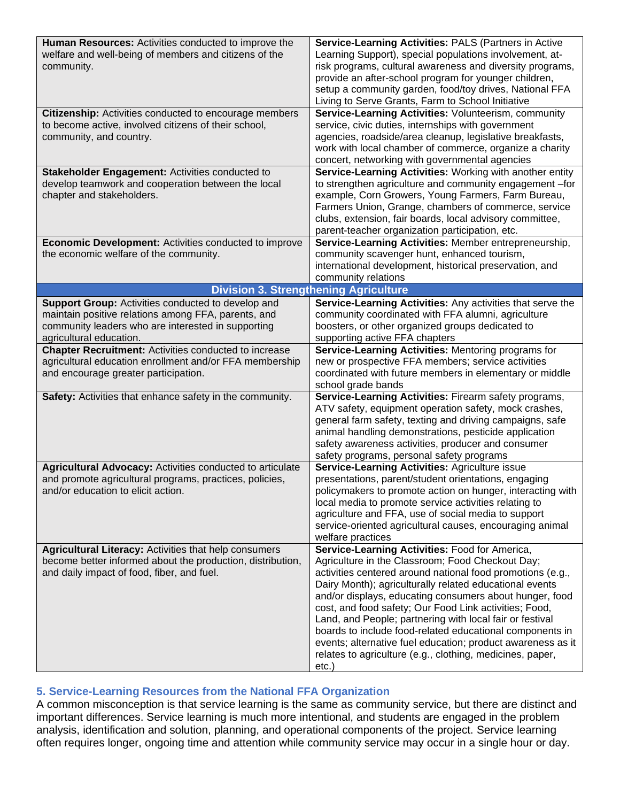| Human Resources: Activities conducted to improve the<br>welfare and well-being of members and citizens of the<br>community.                                                                       | Service-Learning Activities: PALS (Partners in Active<br>Learning Support), special populations involvement, at-<br>risk programs, cultural awareness and diversity programs,<br>provide an after-school program for younger children,<br>setup a community garden, food/toy drives, National FFA<br>Living to Serve Grants, Farm to School Initiative                                                                                                                                                                                                                                                           |
|---------------------------------------------------------------------------------------------------------------------------------------------------------------------------------------------------|------------------------------------------------------------------------------------------------------------------------------------------------------------------------------------------------------------------------------------------------------------------------------------------------------------------------------------------------------------------------------------------------------------------------------------------------------------------------------------------------------------------------------------------------------------------------------------------------------------------|
| Citizenship: Activities conducted to encourage members<br>to become active, involved citizens of their school,<br>community, and country.                                                         | Service-Learning Activities: Volunteerism, community<br>service, civic duties, internships with government<br>agencies, roadside/area cleanup, legislative breakfasts,<br>work with local chamber of commerce, organize a charity<br>concert, networking with governmental agencies                                                                                                                                                                                                                                                                                                                              |
| Stakeholder Engagement: Activities conducted to<br>develop teamwork and cooperation between the local<br>chapter and stakeholders.                                                                | Service-Learning Activities: Working with another entity<br>to strengthen agriculture and community engagement -for<br>example, Corn Growers, Young Farmers, Farm Bureau,<br>Farmers Union, Grange, chambers of commerce, service<br>clubs, extension, fair boards, local advisory committee,<br>parent-teacher organization participation, etc.                                                                                                                                                                                                                                                                 |
| <b>Economic Development: Activities conducted to improve</b><br>the economic welfare of the community.                                                                                            | Service-Learning Activities: Member entrepreneurship,<br>community scavenger hunt, enhanced tourism,<br>international development, historical preservation, and<br>community relations                                                                                                                                                                                                                                                                                                                                                                                                                           |
| <b>Division 3. Strengthening Agriculture</b>                                                                                                                                                      |                                                                                                                                                                                                                                                                                                                                                                                                                                                                                                                                                                                                                  |
| <b>Support Group:</b> Activities conducted to develop and<br>maintain positive relations among FFA, parents, and<br>community leaders who are interested in supporting<br>agricultural education. | Service-Learning Activities: Any activities that serve the<br>community coordinated with FFA alumni, agriculture<br>boosters, or other organized groups dedicated to<br>supporting active FFA chapters                                                                                                                                                                                                                                                                                                                                                                                                           |
| <b>Chapter Recruitment: Activities conducted to increase</b><br>agricultural education enrollment and/or FFA membership<br>and encourage greater participation.                                   | Service-Learning Activities: Mentoring programs for<br>new or prospective FFA members; service activities<br>coordinated with future members in elementary or middle<br>school grade bands                                                                                                                                                                                                                                                                                                                                                                                                                       |
| Safety: Activities that enhance safety in the community.                                                                                                                                          | Service-Learning Activities: Firearm safety programs,<br>ATV safety, equipment operation safety, mock crashes,<br>general farm safety, texting and driving campaigns, safe<br>animal handling demonstrations, pesticide application<br>safety awareness activities, producer and consumer<br>safety programs, personal safety programs                                                                                                                                                                                                                                                                           |
| Agricultural Advocacy: Activities conducted to articulate<br>and promote agricultural programs, practices, policies,<br>and/or education to elicit action.                                        | Service-Learning Activities: Agriculture issue<br>presentations, parent/student orientations, engaging<br>policymakers to promote action on hunger, interacting with<br>local media to promote service activities relating to<br>agriculture and FFA, use of social media to support<br>service-oriented agricultural causes, encouraging animal<br>welfare practices                                                                                                                                                                                                                                            |
| <b>Agricultural Literacy: Activities that help consumers</b><br>become better informed about the production, distribution,<br>and daily impact of food, fiber, and fuel.                          | Service-Learning Activities: Food for America,<br>Agriculture in the Classroom; Food Checkout Day;<br>activities centered around national food promotions (e.g.,<br>Dairy Month); agriculturally related educational events<br>and/or displays, educating consumers about hunger, food<br>cost, and food safety; Our Food Link activities; Food,<br>Land, and People; partnering with local fair or festival<br>boards to include food-related educational components in<br>events; alternative fuel education; product awareness as it<br>relates to agriculture (e.g., clothing, medicines, paper,<br>$etc.$ ) |

## <span id="page-3-0"></span>**5. Service-Learning Resources from the National FFA Organization**

A common misconception is that service learning is the same as community service, but there are distinct and important differences. Service learning is much more intentional, and students are engaged in the problem analysis, identification and solution, planning, and operational components of the project. Service learning often requires longer, ongoing time and attention while community service may occur in a single hour or day.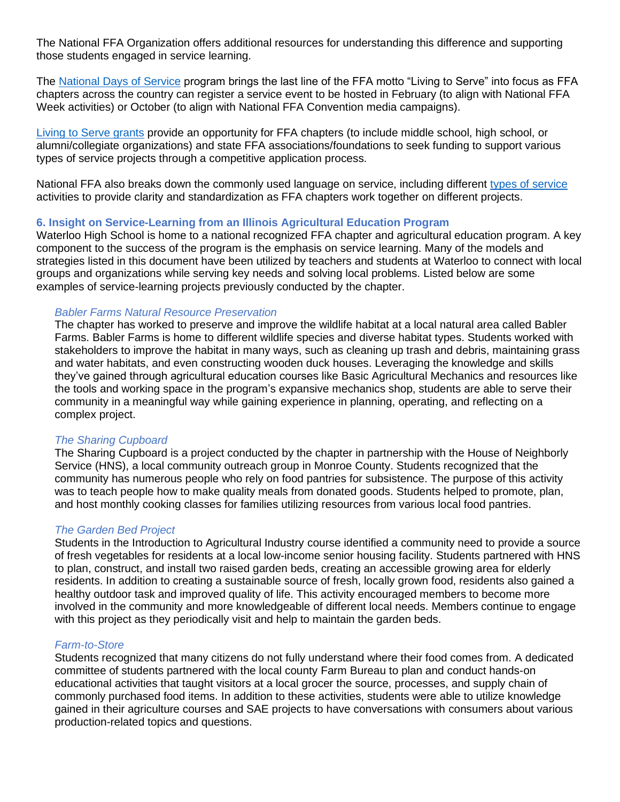The National FFA Organization offers additional resources for understanding this difference and supporting those students engaged in service learning.

The [National Days of Service](https://www.ffa.org/national-days-of-service/) program brings the last line of the FFA motto "Living to Serve" into focus as FFA chapters across the country can register a service event to be hosted in February (to align with National FFA Week activities) or October (to align with National FFA Convention media campaigns).

[Living to Serve grants](https://www.ffa.org/livingtoserve/grants/) provide an opportunity for FFA chapters (to include middle school, high school, or alumni/collegiate organizations) and state FFA associations/foundations to seek funding to support various types of service projects through a competitive application process.

National FFA also breaks down the commonly used language on service, including different [types of service](https://www.ffa.org/livingtoserve/types-of-service/) activities to provide clarity and standardization as FFA chapters work together on different projects.

#### <span id="page-4-0"></span>**6. Insight on Service-Learning from an Illinois Agricultural Education Program**

Waterloo High School is home to a national recognized FFA chapter and agricultural education program. A key component to the success of the program is the emphasis on service learning. Many of the models and strategies listed in this document have been utilized by teachers and students at Waterloo to connect with local groups and organizations while serving key needs and solving local problems. Listed below are some examples of service-learning projects previously conducted by the chapter.

#### *Babler Farms Natural Resource Preservation*

The chapter has worked to preserve and improve the wildlife habitat at a local natural area called Babler Farms. Babler Farms is home to different wildlife species and diverse habitat types. Students worked with stakeholders to improve the habitat in many ways, such as cleaning up trash and debris, maintaining grass and water habitats, and even constructing wooden duck houses. Leveraging the knowledge and skills they've gained through agricultural education courses like Basic Agricultural Mechanics and resources like the tools and working space in the program's expansive mechanics shop, students are able to serve their community in a meaningful way while gaining experience in planning, operating, and reflecting on a complex project.

#### *The Sharing Cupboard*

The Sharing Cupboard is a project conducted by the chapter in partnership with the House of Neighborly Service (HNS), a local community outreach group in Monroe County. Students recognized that the community has numerous people who rely on food pantries for subsistence. The purpose of this activity was to teach people how to make quality meals from donated goods. Students helped to promote, plan, and host monthly cooking classes for families utilizing resources from various local food pantries.

#### *The Garden Bed Project*

Students in the Introduction to Agricultural Industry course identified a community need to provide a source of fresh vegetables for residents at a local low-income senior housing facility. Students partnered with HNS to plan, construct, and install two raised garden beds, creating an accessible growing area for elderly residents. In addition to creating a sustainable source of fresh, locally grown food, residents also gained a healthy outdoor task and improved quality of life. This activity encouraged members to become more involved in the community and more knowledgeable of different local needs. Members continue to engage with this project as they periodically visit and help to maintain the garden beds.

#### *Farm-to-Store*

Students recognized that many citizens do not fully understand where their food comes from. A dedicated committee of students partnered with the local county Farm Bureau to plan and conduct hands-on educational activities that taught visitors at a local grocer the source, processes, and supply chain of commonly purchased food items. In addition to these activities, students were able to utilize knowledge gained in their agriculture courses and SAE projects to have conversations with consumers about various production-related topics and questions.